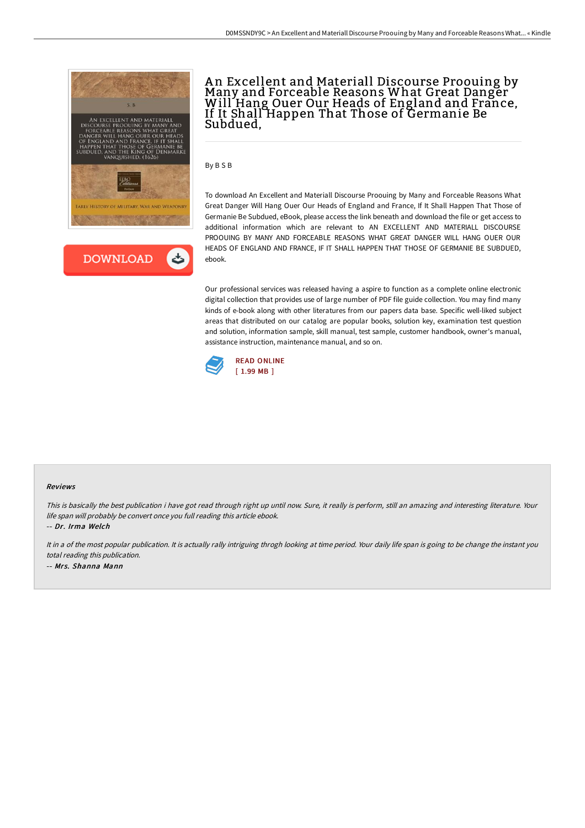



# An Excellent and Materiall Discourse Proouing by<br>Many and Forceable Reasons What Great Danger Will Hang Ouer Our Heads of England and France, If It Shall Happen That Those of Germanie Be Subdued,

By B S B

To download An Excellent and Materiall Discourse Proouing by Many and Forceable Reasons What Great Danger Will Hang Ouer Our Heads of England and France, If It Shall Happen That Those of Germanie Be Subdued, eBook, please access the link beneath and download the file or get access to additional information which are relevant to AN EXCELLENT AND MATERIALL DISCOURSE PROOUING BY MANY AND FORCEABLE REASONS WHAT GREAT DANGER WILL HANG OUER OUR HEADS OF ENGLAND AND FRANCE, IF IT SHALL HAPPEN THAT THOSE OF GERMANIE BE SUBDUED, ebook.

Our professional services was released having a aspire to function as a complete online electronic digital collection that provides use of large number of PDF file guide collection. You may find many kinds of e-book along with other literatures from our papers data base. Specific well-liked subject areas that distributed on our catalog are popular books, solution key, examination test question and solution, information sample, skill manual, test sample, customer handbook, owner's manual, assistance instruction, maintenance manual, and so on.



#### Reviews

This is basically the best publication i have got read through right up until now. Sure, it really is perform, still an amazing and interesting literature. Your life span will probably be convert once you full reading this article ebook.

-- Dr. Irma Welch

It in a of the most popular publication. It is actually rally intriguing throgh looking at time period. Your daily life span is going to be change the instant you total reading this publication. -- Mrs. Shanna Mann